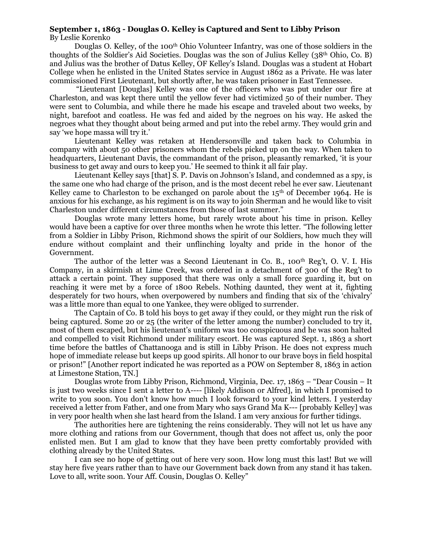## **September 1, 1863 - Douglas O. Kelley is Captured and Sent to Libby Prison** By Leslie Korenko

Douglas O. Kelley, of the 100<sup>th</sup> Ohio Volunteer Infantry, was one of those soldiers in the thoughts of the Soldier's Aid Societies. Douglas was the son of Julius Kelley (38th Ohio, Co. B) and Julius was the brother of Datus Kelley, OF Kelley's Island. Douglas was a student at Hobart College when he enlisted in the United States service in August 1862 as a Private. He was later commissioned First Lieutenant, but shortly after, he was taken prisoner in East Tennessee.

"Lieutenant [Douglas] Kelley was one of the officers who was put under our fire at Charleston, and was kept there until the yellow fever had victimized 50 of their number. They were sent to Columbia, and while there he made his escape and traveled about two weeks, by night, barefoot and coatless. He was fed and aided by the negroes on his way. He asked the negroes what they thought about being armed and put into the rebel army. They would grin and say 'we hope massa will try it.'

Lieutenant Kelley was retaken at Hendersonville and taken back to Columbia in company with about 50 other prisoners whom the rebels picked up on the way. When taken to headquarters, Lieutenant Davis, the commandant of the prison, pleasantly remarked, 'it is your business to get away and ours to keep you.' He seemed to think it all fair play.

Lieutenant Kelley says [that] S. P. Davis on Johnson's Island, and condemned as a spy, is the same one who had charge of the prison, and is the most decent rebel he ever saw. Lieutenant Kelley came to Charleston to be exchanged on parole about the  $15<sup>th</sup>$  of December 1964. He is anxious for his exchange, as his regiment is on its way to join Sherman and he would like to visit Charleston under different circumstances from those of last summer."

Douglas wrote many letters home, but rarely wrote about his time in prison. Kelley would have been a captive for over three months when he wrote this letter. "The following letter from a Soldier in Libby Prison, Richmond shows the spirit of our Soldiers, how much they will endure without complaint and their unflinching loyalty and pride in the honor of the Government.

The author of the letter was a Second Lieutenant in Co. B., 100<sup>th</sup> Reg't, O. V. I. His Company, in a skirmish at Lime Creek, was ordered in a detachment of 300 of the Reg't to attack a certain point. They supposed that there was only a small force guarding it, but on reaching it were met by a force of 1800 Rebels. Nothing daunted, they went at it, fighting desperately for two hours, when overpowered by numbers and finding that six of the 'chivalry' was a little more than equal to one Yankee, they were obliged to surrender.

The Captain of Co. B told his boys to get away if they could, or they might run the risk of being captured. Some 20 or 25 (the writer of the letter among the number) concluded to try it, most of them escaped, but his lieutenant's uniform was too conspicuous and he was soon halted and compelled to visit Richmond under military escort. He was captured Sept. 1, 1863 a short time before the battles of Chattanooga and is still in Libby Prison. He does not express much hope of immediate release but keeps up good spirits. All honor to our brave boys in field hospital or prison!" [Another report indicated he was reported as a POW on September 8, 1863 in action at Limestone Station, TN.]

Douglas wrote from Libby Prison, Richmond, Virginia, Dec. 17, 1863 – "Dear Cousin – It is just two weeks since I sent a letter to A---- [likely Addison or Alfred], in which I promised to write to you soon. You don't know how much I look forward to your kind letters. I yesterday received a letter from Father, and one from Mary who says Grand Ma K--- [probably Kelley] was in very poor health when she last heard from the Island. I am very anxious for further tidings.

The authorities here are tightening the reins considerably. They will not let us have any more clothing and rations from our Government, though that does not affect us, only the poor enlisted men. But I am glad to know that they have been pretty comfortably provided with clothing already by the United States.

I can see no hope of getting out of here very soon. How long must this last! But we will stay here five years rather than to have our Government back down from any stand it has taken. Love to all, write soon. Your Aff. Cousin, Douglas O. Kelley"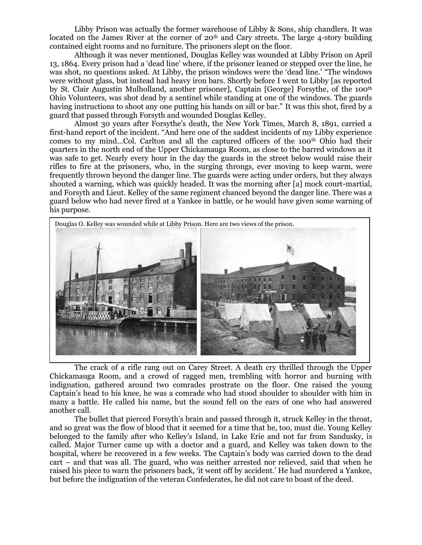Libby Prison was actually the former warehouse of Libby  $\&$  Sons, ship chandlers. It was located on the James River at the corner of  $20<sup>th</sup>$  and Cary streets. The large 4-story building contained eight rooms and no furniture. The prisoners slept on the floor.

Although it was never mentioned, Douglas Kelley was wounded at Libby Prison on April 13, 1864. Every prison had a 'dead line' where, if the prisoner leaned or stepped over the line, he was shot, no questions asked. At Libby, the prison windows were the 'dead line.' "The windows were without glass, but instead had heavy iron bars. Shortly before I went to Libby [as reported by St. Clair Augustin Mulholland, another prisoner], Captain [George] Forsythe, of the 100th Ohio Volunteers, was shot dead by a sentinel while standing at one of the windows. The guards having instructions to shoot any one putting his hands on sill or bar." It was this shot, fired by a guard that passed through Forsyth and wounded Douglas Kelley.

Almost 30 years after Forsythe's death, the New York Times, March 8, 1891, carried a first-hand report of the incident. "And here one of the saddest incidents of my Libby experience comes to my mind…Col. Carlton and all the captured officers of the 100th Ohio had their quarters in the north end of the Upper Chickamauga Room, as close to the barred windows as it was safe to get. Nearly every hour in the day the guards in the street below would raise their rifles to fire at the prisoners, who, in the surging throngs, ever moving to keep warm, were frequently thrown beyond the danger line. The guards were acting under orders, but they always shouted a warning, which was quickly headed. It was the morning after [a] mock court-martial, and Forsyth and Lieut. Kelley of the same regiment chanced beyond the danger line. There was a guard below who had never fired at a Yankee in battle, or he would have given some warning of his purpose.



The crack of a rifle rang out on Carey Street. A death cry thrilled through the Upper Chickamauga Room, and a crowd of ragged men, trembling with horror and burning with indignation, gathered around two comrades prostrate on the floor. One raised the young Captain's head to his knee, he was a comrade who had stood shoulder to shoulder with him in many a battle. He called his name, but the sound fell on the ears of one who had answered another call.

The bullet that pierced Forsyth's brain and passed through it, struck Kelley in the throat, and so great was the flow of blood that it seemed for a time that he, too, must die. Young Kelley belonged to the family after who Kelley's Island, in Lake Erie and not far from Sandusky, is called. Major Turner came up with a doctor and a guard, and Kelley was taken down to the hospital, where he recovered in a few weeks. The Captain's body was carried down to the dead cart – and that was all. The guard, who was neither arrested nor relieved, said that when he raised his piece to warn the prisoners back, 'it went off by accident.' He had murdered a Yankee, but before the indignation of the veteran Confederates, he did not care to boast of the deed.